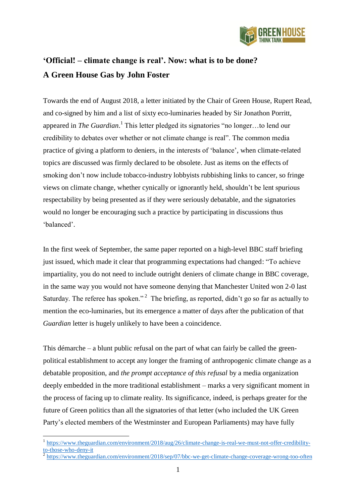

## **'Official! – climate change is real'. Now: what is to be done? A Green House Gas by John Foster**

Towards the end of August 2018, a letter initiated by the Chair of Green House, Rupert Read, and co-signed by him and a list of sixty eco-luminaries headed by Sir Jonathon Porritt, appeared in *The Guardian*.<sup>1</sup> This letter pledged its signatories "no longer...to lend our credibility to debates over whether or not climate change is real". The common media practice of giving a platform to deniers, in the interests of 'balance', when climate-related topics are discussed was firmly declared to be obsolete. Just as items on the effects of smoking don't now include tobacco-industry lobbyists rubbishing links to cancer, so fringe views on climate change, whether cynically or ignorantly held, shouldn't be lent spurious respectability by being presented as if they were seriously debatable, and the signatories would no longer be encouraging such a practice by participating in discussions thus 'balanced'.

In the first week of September, the same paper reported on a high-level BBC staff briefing just issued, which made it clear that programming expectations had changed: "To achieve impartiality, you do not need to include outright deniers of climate change in BBC coverage, in the same way you would not have someone denying that Manchester United won 2-0 last Saturday. The referee has spoken."<sup>2</sup> The briefing, as reported, didn't go so far as actually to mention the eco-luminaries, but its emergence a matter of days after the publication of that *Guardian* letter is hugely unlikely to have been a coincidence.

This démarche – a blunt public refusal on the part of what can fairly be called the greenpolitical establishment to accept any longer the framing of anthropogenic climate change as a debatable proposition, and *the prompt acceptance of this refusal* by a media organization deeply embedded in the more traditional establishment – marks a very significant moment in the process of facing up to climate reality. Its significance, indeed, is perhaps greater for the future of Green politics than all the signatories of that letter (who included the UK Green Party's elected members of the Westminster and European Parliaments) may have fully

<sup>1</sup> [https://www.theguardian.com/environment/2018/aug/26/climate-change-is-real-we-must-not-offer-credibility-](https://www.theguardian.com/environment/2018/aug/26/climate-change-is-real-we-must-not-offer-credibility-to-those-who-deny-it) $\frac{\text{to-those-who-density-it}}{\text{https://www.thogueo}}$ 

<https://www.theguardian.com/environment/2018/sep/07/bbc-we-get-climate-change-coverage-wrong-too-often>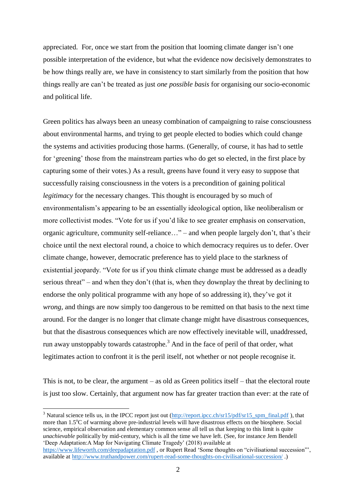appreciated. For, once we start from the position that looming climate danger isn't one possible interpretation of the evidence, but what the evidence now decisively demonstrates to be how things really are, we have in consistency to start similarly from the position that how things really are can't be treated as just *one possible basis* for organising our socio-economic and political life.

Green politics has always been an uneasy combination of campaigning to raise consciousness about environmental harms, and trying to get people elected to bodies which could change the systems and activities producing those harms. (Generally, of course, it has had to settle for 'greening' those from the mainstream parties who do get so elected, in the first place by capturing some of their votes.) As a result, greens have found it very easy to suppose that successfully raising consciousness in the voters is a precondition of gaining political *legitimacy* for the necessary changes. This thought is encouraged by so much of environmentalism's appearing to be an essentially ideological option, like neoliberalism or more collectivist modes. "Vote for us if you'd like to see greater emphasis on conservation, organic agriculture, community self-reliance…" – and when people largely don't, that's their choice until the next electoral round, a choice to which democracy requires us to defer. Over climate change, however, democratic preference has to yield place to the starkness of existential jeopardy. "Vote for us if you think climate change must be addressed as a deadly serious threat" – and when they don't (that is, when they downplay the threat by declining to endorse the only political programme with any hope of so addressing it), they've got it *wrong*, and things are now simply too dangerous to be remitted on that basis to the next time around. For the danger is no longer that climate change might have disastrous consequences, but that the disastrous consequences which are now effectively inevitable will, unaddressed, run away unstoppably towards catastrophe.<sup>3</sup> And in the face of peril of that order, what legitimates action to confront it is the peril itself, not whether or not people recognise it.

This is not, to be clear, the argument – as old as Green politics itself – that the electoral route is just too slow. Certainly, that argument now has far greater traction than ever: at the rate of

<sup>3</sup> Natural science tells us, in the IPCC report just out [\(http://report.ipcc.ch/sr15/pdf/sr15\\_spm\\_final.pdf](http://report.ipcc.ch/sr15/pdf/sr15_spm_final.pdf)), that more than 1.5<sup>o</sup>C of warming above pre-industrial levels will have disastrous effects on the biosphere. Social science, empirical observation and elementary common sense all tell us that keeping to this limit is quite *unachievable* politically by mid-century, which is all the time we have left. (See, for instance Jem Bendell 'Deep Adaptation:A Map for Navigating Climate Tragedy' (2018) available at

<u>.</u>

<https://www.lifeworth.com/deepadaptation.pdf> , or Rupert Read 'Some thoughts on "civilisational succession"', available at<http://www.truthandpower.com/rupert-read-some-thoughts-on-civilisational-succession/> .)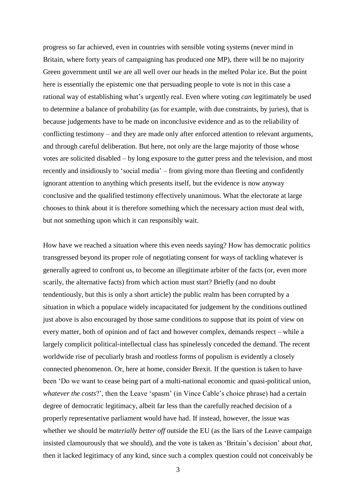progress so far achieved, even in countries with sensible voting systems (never mind in Britain, where forty years of campaigning has produced one MP), there will be no majority Green government until we are all well over our heads in the melted Polar ice. But the point here is essentially the epistemic one that persuading people to vote is not in this case a rational way of establishing what's urgently real. Even where voting *can* legitimately be used to determine a balance of probability (as for example, with due constraints, by juries), that is because judgements have to be made on inconclusive evidence and as to the reliability of conflicting testimony – and they are made only after enforced attention to relevant arguments, and through careful deliberation. But here, not only are the large majority of those whose votes are solicited disabled – by long exposure to the gutter press and the television, and most recently and insidiously to 'social media' – from giving more than fleeting and confidently ignorant attention to anything which presents itself, but the evidence is now anyway conclusive and the qualified testimony effectively unanimous. What the electorate at large chooses to think about it is therefore something which the necessary action must deal with, but not something upon which it can responsibly wait.

How have we reached a situation where this even needs saying? How has democratic politics transgressed beyond its proper role of negotiating consent for ways of tackling whatever is generally agreed to confront us, to become an illegitimate arbiter of the facts (or, even more scarily, the alternative facts) from which action must start? Briefly (and no doubt tendentiously, but this is only a short article) the public realm has been corrupted by a situation in which a populace widely incapacitated for judgement by the conditions outlined just above is also encouraged by those same conditions to suppose that its point of view on every matter, both of opinion and of fact and however complex, demands respect – while a largely complicit political-intellectual class has spinelessly conceded the demand. The recent worldwide rise of peculiarly brash and rootless forms of populism is evidently a closely connected phenomenon. Or, here at home, consider Brexit. If the question is taken to have been 'Do we want to cease being part of a multi-national economic and quasi-political union, *whatever the costs*?', then the Leave 'spasm' (in Vince Cable's choice phrase) had a certain degree of democratic legitimacy, albeit far less than the carefully reached decision of a properly representative parliament would have had. If instead, however, the issue was whether we should be *materially better off* outside the EU (as the liars of the Leave campaign insisted clamourously that we should), and the vote is taken as 'Britain's decision' about *that*, then it lacked legitimacy of any kind, since such a complex question could not conceivably be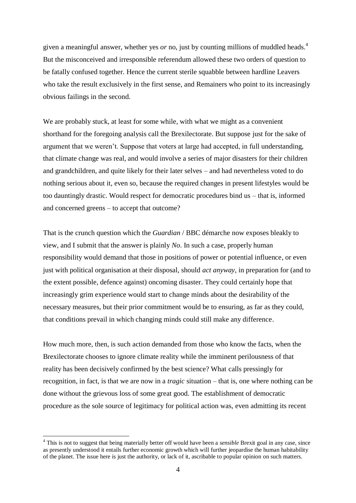given a meaningful answer, whether yes *or* no, just by counting millions of muddled heads. 4 But the misconceived and irresponsible referendum allowed these two orders of question to be fatally confused together. Hence the current sterile squabble between hardline Leavers who take the result exclusively in the first sense, and Remainers who point to its increasingly obvious failings in the second.

We are probably stuck, at least for some while, with what we might as a convenient shorthand for the foregoing analysis call the Brexilectorate. But suppose just for the sake of argument that we weren't. Suppose that voters at large had accepted, in full understanding, that climate change was real, and would involve a series of major disasters for their children and grandchildren, and quite likely for their later selves – and had nevertheless voted to do nothing serious about it, even so, because the required changes in present lifestyles would be too dauntingly drastic. Would respect for democratic procedures bind us – that is, informed and concerned greens – to accept that outcome?

That is the crunch question which the *Guardian* / BBC démarche now exposes bleakly to view, and I submit that the answer is plainly *No*. In such a case, properly human responsibility would demand that those in positions of power or potential influence, or even just with political organisation at their disposal, should *act anyway*, in preparation for (and to the extent possible, defence against) oncoming disaster. They could certainly hope that increasingly grim experience would start to change minds about the desirability of the necessary measures, but their prior commitment would be to ensuring, as far as they could, that conditions prevail in which changing minds could still make any difference.

How much more, then, is such action demanded from those who know the facts, when the Brexilectorate chooses to ignore climate reality while the imminent perilousness of that reality has been decisively confirmed by the best science? What calls pressingly for recognition, in fact, is that we are now in a *tragic* situation – that is, one where nothing can be done without the grievous loss of some great good. The establishment of democratic procedure as the sole source of legitimacy for political action was, even admitting its recent

<sup>4</sup> This is not to suggest that being materially better off would have been a *sensible* Brexit goal in any case, since as presently understood it entails further economic growth which will further jeopardise the human habitability of the planet. The issue here is just the authority, or lack of it, ascribable to popular opinion on such matters.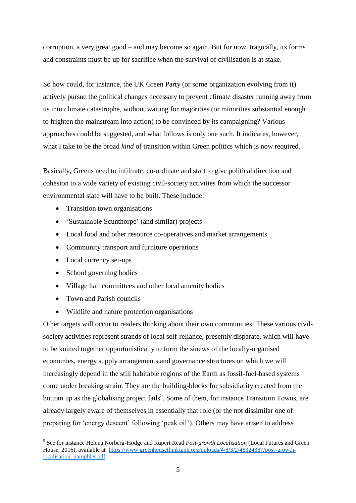corruption, a very great good – and may become so again. But for now, tragically, its forms and constraints must be up for sacrifice when the survival of civilisation is at stake.

So how could, for instance, the UK Green Party (or some organization evolving from it) actively pursue the political changes necessary to prevent climate disaster running away from us into climate catastrophe, without waiting for majorities (or minorities substantial enough to frighten the mainstream into action) to be convinced by its campaigning? Various approaches could be suggested, and what follows is only one such. It indicates, however, what I take to be the broad *kind* of transition within Green politics which is now required.

Basically, Greens need to infiltrate, co-ordinate and start to give political direction and cohesion to a wide variety of existing civil-society activities from which the successor environmental state will have to be built. These include:

- Transition town organisations
- 'Sustainable Scunthorpe' (and similar) projects
- Local food and other resource co-operatives and market arrangements
- Community transport and furniture operations
- Local currency set-ups
- School governing bodies
- Village hall committees and other local amenity bodies
- Town and Parish councils

1

Wildlife and nature protection organisations

Other targets will occur to readers thinking about their own communities. These various civilsociety activities represent strands of local self-reliance, presently disparate, which will have to be knitted together opportunistically to form the sinews of the locally-organised economies, energy supply arrangements and governance structures on which we will increasingly depend in the still habitable regions of the Earth as fossil-fuel-based systems come under breaking strain. They are the building-blocks for subsidiarity created from the bottom up as the globalising project fails<sup>5</sup>. Some of them, for instance Transition Towns, are already largely aware of themselves in essentially that role (or the not dissimilar one of preparing for 'energy descent' following 'peak oil'). Others may have arisen to address

<sup>5</sup> See for instance Helena Norberg-Hodge and Rupert Read *Post-growth Localisation* (Local Futures and Green House, 2016), available at [https://www.greenhousethinktank.org/uploads/4/8/3/2/48324387/post-growth](https://www.greenhousethinktank.org/uploads/4/8/3/2/48324387/post-growth-localisation_pamphlet.pdf)[localisation\\_pamphlet.pdf](https://www.greenhousethinktank.org/uploads/4/8/3/2/48324387/post-growth-localisation_pamphlet.pdf)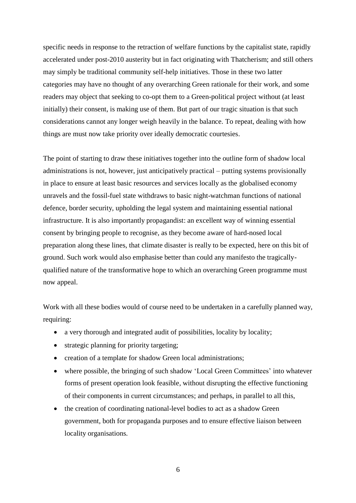specific needs in response to the retraction of welfare functions by the capitalist state, rapidly accelerated under post-2010 austerity but in fact originating with Thatcherism; and still others may simply be traditional community self-help initiatives. Those in these two latter categories may have no thought of any overarching Green rationale for their work, and some readers may object that seeking to co-opt them to a Green-political project without (at least initially) their consent, is making use of them. But part of our tragic situation is that such considerations cannot any longer weigh heavily in the balance. To repeat, dealing with how things are must now take priority over ideally democratic courtesies.

The point of starting to draw these initiatives together into the outline form of shadow local administrations is not, however, just anticipatively practical – putting systems provisionally in place to ensure at least basic resources and services locally as the globalised economy unravels and the fossil-fuel state withdraws to basic night-watchman functions of national defence, border security, upholding the legal system and maintaining essential national infrastructure. It is also importantly propagandist: an excellent way of winning essential consent by bringing people to recognise, as they become aware of hard-nosed local preparation along these lines, that climate disaster is really to be expected, here on this bit of ground. Such work would also emphasise better than could any manifesto the tragicallyqualified nature of the transformative hope to which an overarching Green programme must now appeal.

Work with all these bodies would of course need to be undertaken in a carefully planned way, requiring:

- a very thorough and integrated audit of possibilities, locality by locality;
- strategic planning for priority targeting;
- creation of a template for shadow Green local administrations;
- where possible, the bringing of such shadow 'Local Green Committees' into whatever forms of present operation look feasible, without disrupting the effective functioning of their components in current circumstances; and perhaps, in parallel to all this,
- the creation of coordinating national-level bodies to act as a shadow Green government, both for propaganda purposes and to ensure effective liaison between locality organisations.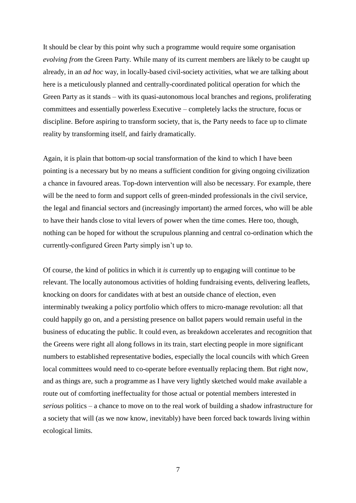It should be clear by this point why such a programme would require some organisation *evolving from* the Green Party. While many of its current members are likely to be caught up already, in an *ad hoc* way, in locally-based civil-society activities, what we are talking about here is a meticulously planned and centrally-coordinated political operation for which the Green Party as it stands – with its quasi-autonomous local branches and regions, proliferating committees and essentially powerless Executive – completely lacks the structure, focus or discipline. Before aspiring to transform society, that is, the Party needs to face up to climate reality by transforming itself, and fairly dramatically.

Again, it is plain that bottom-up social transformation of the kind to which I have been pointing is a necessary but by no means a sufficient condition for giving ongoing civilization a chance in favoured areas. Top-down intervention will also be necessary. For example, there will be the need to form and support cells of green-minded professionals in the civil service, the legal and financial sectors and (increasingly important) the armed forces, who will be able to have their hands close to vital levers of power when the time comes. Here too, though, nothing can be hoped for without the scrupulous planning and central co-ordination which the currently-configured Green Party simply isn't up to.

Of course, the kind of politics in which it *is* currently up to engaging will continue to be relevant. The locally autonomous activities of holding fundraising events, delivering leaflets, knocking on doors for candidates with at best an outside chance of election, even interminably tweaking a policy portfolio which offers to micro-manage revolution: all that could happily go on, and a persisting presence on ballot papers would remain useful in the business of educating the public. It could even, as breakdown accelerates and recognition that the Greens were right all along follows in its train, start electing people in more significant numbers to established representative bodies, especially the local councils with which Green local committees would need to co-operate before eventually replacing them. But right now, and as things are, such a programme as I have very lightly sketched would make available a route out of comforting ineffectuality for those actual or potential members interested in *serious* politics – a chance to move on to the real work of building a shadow infrastructure for a society that will (as we now know, inevitably) have been forced back towards living within ecological limits.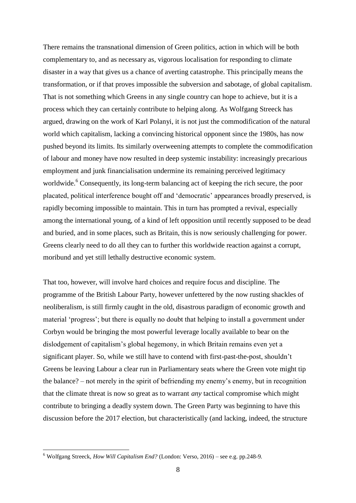There remains the transnational dimension of Green politics, action in which will be both complementary to, and as necessary as, vigorous localisation for responding to climate disaster in a way that gives us a chance of averting catastrophe. This principally means the transformation, or if that proves impossible the subversion and sabotage, of global capitalism. That is not something which Greens in any single country can hope to achieve, but it is a process which they can certainly contribute to helping along. As Wolfgang Streeck has argued, drawing on the work of Karl Polanyi, it is not just the commodification of the natural world which capitalism, lacking a convincing historical opponent since the 1980s, has now pushed beyond its limits. Its similarly overweening attempts to complete the commodification of labour and money have now resulted in deep systemic instability: increasingly precarious employment and junk financialisation undermine its remaining perceived legitimacy worldwide.<sup>6</sup> Consequently, its long-term balancing act of keeping the rich secure, the poor placated, political interference bought off and 'democratic' appearances broadly preserved, is rapidly becoming impossible to maintain. This in turn has prompted a revival, especially among the international young, of a kind of left opposition until recently supposed to be dead and buried, and in some places, such as Britain, this is now seriously challenging for power. Greens clearly need to do all they can to further this worldwide reaction against a corrupt, moribund and yet still lethally destructive economic system.

That too, however, will involve hard choices and require focus and discipline. The programme of the British Labour Party, however unfettered by the now rusting shackles of neoliberalism, is still firmly caught in the old, disastrous paradigm of economic growth and material 'progress'; but there is equally no doubt that helping to install a government under Corbyn would be bringing the most powerful leverage locally available to bear on the dislodgement of capitalism's global hegemony, in which Britain remains even yet a significant player. So, while we still have to contend with first-past-the-post, shouldn't Greens be leaving Labour a clear run in Parliamentary seats where the Green vote might tip the balance? – not merely in the spirit of befriending my enemy's enemy, but in recognition that the climate threat is now so great as to warrant *any* tactical compromise which might contribute to bringing a deadly system down. The Green Party was beginning to have this discussion before the 2017 election, but characteristically (and lacking, indeed, the structure

<u>.</u>

<sup>6</sup> Wolfgang Streeck, *How Will Capitalism End?* (London: Verso, 2016) – see e.g. pp.248-9.